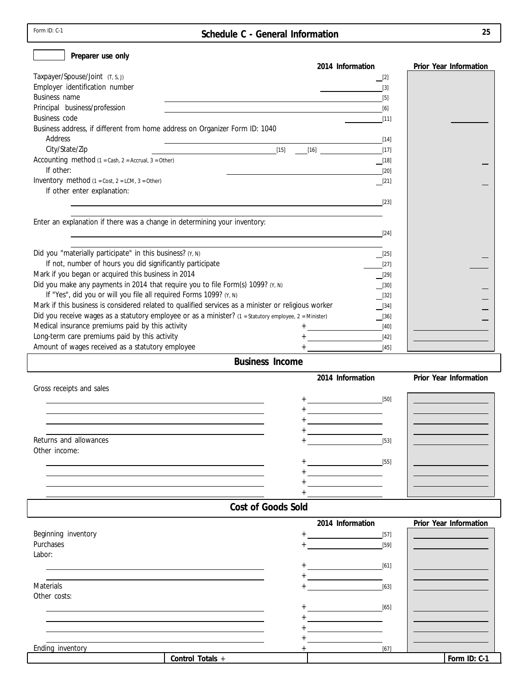| Form $ID: C-1$ |  |  |
|----------------|--|--|
|----------------|--|--|

**Form ID: C-1** 

| Preparer use only                                                                                                                                      |                                                                   |                                                   |
|--------------------------------------------------------------------------------------------------------------------------------------------------------|-------------------------------------------------------------------|---------------------------------------------------|
|                                                                                                                                                        | 2014 Information                                                  | Prior Year Information                            |
| Taxpayer/Spouse/Joint (T, S, J)                                                                                                                        | $\Box$ [2]                                                        |                                                   |
| Employer identification number                                                                                                                         | $[3]$<br><u> Albanya (Albanya Albanya)</u>                        |                                                   |
| Business name<br><u> 1989 - Johann Barn, amerikansk politiker (d. 1989)</u>                                                                            | $[5]$                                                             |                                                   |
| Principal business/profession<br><u> 1989 - Johann Stoff, deutscher Stoff, der Stoff, der Stoff, der Stoff, der Stoff, der Stoff, der Stoff, der S</u> | [6]                                                               |                                                   |
| Business code                                                                                                                                          | $[11]$                                                            |                                                   |
| Business address, if different from home address on Organizer Form ID: 1040                                                                            |                                                                   |                                                   |
| Address                                                                                                                                                |                                                                   |                                                   |
| City/State/Zip<br>Accounting method $(1 = Cash, 2 = Accrual, 3 = Other)$                                                                               |                                                                   |                                                   |
| If other:                                                                                                                                              | $\boxed{18}$<br>$[20]$                                            |                                                   |
| Inventory method $(1 = Cost, 2 = LCM, 3 = Other)$                                                                                                      | $\boxed{[21]}$                                                    |                                                   |
| If other enter explanation:                                                                                                                            |                                                                   |                                                   |
| $[23]$                                                                                                                                                 |                                                                   |                                                   |
|                                                                                                                                                        |                                                                   |                                                   |
| Enter an explanation if there was a change in determining your inventory:                                                                              |                                                                   |                                                   |
| $[24]$                                                                                                                                                 |                                                                   |                                                   |
|                                                                                                                                                        |                                                                   |                                                   |
| Did you "materially participate" in this business? (Y, N)                                                                                              | $\boxed{[25]}$                                                    |                                                   |
| If not, number of hours you did significantly participate                                                                                              | $[27]$                                                            |                                                   |
| Mark if you began or acquired this business in 2014                                                                                                    | $\boxed{[29]}$                                                    |                                                   |
| Did you make any payments in 2014 that require you to file Form(s) 1099? (Y, N)                                                                        | $\boxed{30}$                                                      |                                                   |
| If "Yes", did you or will you file all required Forms 1099? (Y, N)                                                                                     | $\lfloor 32 \rfloor$                                              |                                                   |
| Mark if this business is considered related to qualified services as a minister or religious worker                                                    | $\boxed{134}$                                                     |                                                   |
| Did you receive wages as a statutory employee or as a minister? (1 = Statutory employee, 2 = Minister)                                                 | $\boxed{[36]}$                                                    |                                                   |
| Medical insurance premiums paid by this activity                                                                                                       | $[40]$                                                            |                                                   |
| Long-term care premiums paid by this activity                                                                                                          | $[42]$                                                            |                                                   |
| Amount of wages received as a statutory employee                                                                                                       | $[45]$                                                            |                                                   |
| <b>Business Income</b>                                                                                                                                 |                                                                   |                                                   |
|                                                                                                                                                        | 2014 Information                                                  | Prior Year Information                            |
| Gross receipts and sales                                                                                                                               |                                                                   |                                                   |
| the control of the control of the control of the control of the control of the control of                                                              |                                                                   | <u> 1989 - Johann Barn, mars eta inperiodo</u>    |
|                                                                                                                                                        |                                                                   | <u> 1989 - Johann Stoff, fransk politik (</u>     |
|                                                                                                                                                        |                                                                   | <u> 1990 - John Stone, amerikansk politiker (</u> |
|                                                                                                                                                        |                                                                   |                                                   |
| Returns and allowances                                                                                                                                 | $[53]$                                                            |                                                   |
| Other income:                                                                                                                                          |                                                                   |                                                   |
|                                                                                                                                                        |                                                                   |                                                   |
|                                                                                                                                                        | <u> 1990 - Jan Barnett, fransk politik (</u>                      |                                                   |
|                                                                                                                                                        |                                                                   |                                                   |
|                                                                                                                                                        |                                                                   |                                                   |
| Cost of Goods Sold                                                                                                                                     |                                                                   |                                                   |
|                                                                                                                                                        | 2014 Information                                                  | Prior Year Information                            |
| Beginning inventory                                                                                                                                    | $[57]$<br><u>and the state of the state of the state</u>          |                                                   |
| Purchases                                                                                                                                              | $[59]$                                                            |                                                   |
| Labor:                                                                                                                                                 |                                                                   |                                                   |
|                                                                                                                                                        |                                                                   |                                                   |
|                                                                                                                                                        | [61]                                                              |                                                   |
|                                                                                                                                                        |                                                                   |                                                   |
| <b>Materials</b>                                                                                                                                       | $[63]$                                                            |                                                   |
| Other costs:                                                                                                                                           |                                                                   |                                                   |
|                                                                                                                                                        | [65]                                                              |                                                   |
|                                                                                                                                                        |                                                                   |                                                   |
|                                                                                                                                                        | <u> 1980 - Andrea Station Books, amerikansk politik (d. 1980)</u> |                                                   |
| Ending inventory                                                                                                                                       | $[67]$                                                            |                                                   |

**Control Totals**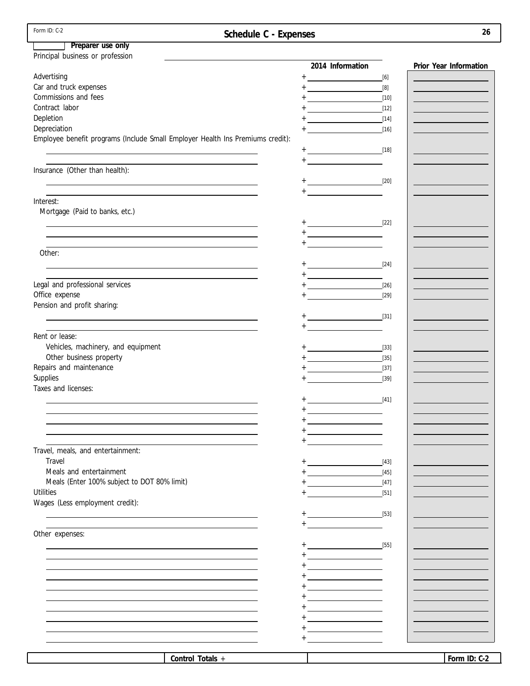| Form ID: C-2                                                                                                                                                                                                                               | Schedule C - Expenses |                                                                                                                                                                                                                                                                                                                                                                                                                                                                                            | 26                                              |
|--------------------------------------------------------------------------------------------------------------------------------------------------------------------------------------------------------------------------------------------|-----------------------|--------------------------------------------------------------------------------------------------------------------------------------------------------------------------------------------------------------------------------------------------------------------------------------------------------------------------------------------------------------------------------------------------------------------------------------------------------------------------------------------|-------------------------------------------------|
| Preparer use only                                                                                                                                                                                                                          |                       |                                                                                                                                                                                                                                                                                                                                                                                                                                                                                            |                                                 |
| Principal business or profession                                                                                                                                                                                                           |                       |                                                                                                                                                                                                                                                                                                                                                                                                                                                                                            |                                                 |
|                                                                                                                                                                                                                                            |                       | 2014 Information                                                                                                                                                                                                                                                                                                                                                                                                                                                                           | Prior Year Information                          |
| Advertising                                                                                                                                                                                                                                |                       |                                                                                                                                                                                                                                                                                                                                                                                                                                                                                            |                                                 |
| Car and truck expenses                                                                                                                                                                                                                     |                       | $+$ [8]                                                                                                                                                                                                                                                                                                                                                                                                                                                                                    | <u> 1990 - Johann Barnett, fransk politik (</u> |
| Commissions and fees                                                                                                                                                                                                                       |                       | $+$ [10]                                                                                                                                                                                                                                                                                                                                                                                                                                                                                   | <u> 1989 - Johann Barn, fransk politik (</u>    |
| Contract labor                                                                                                                                                                                                                             |                       |                                                                                                                                                                                                                                                                                                                                                                                                                                                                                            | <u> 1989 - Johann Barn, mars eta inperiodo</u>  |
| Depletion                                                                                                                                                                                                                                  |                       |                                                                                                                                                                                                                                                                                                                                                                                                                                                                                            | <u> 1989 - Johann Barnett, mars et al. 19</u>   |
| Depreciation                                                                                                                                                                                                                               |                       |                                                                                                                                                                                                                                                                                                                                                                                                                                                                                            |                                                 |
| Employee benefit programs (Include Small Employer Health Ins Premiums credit):                                                                                                                                                             |                       |                                                                                                                                                                                                                                                                                                                                                                                                                                                                                            |                                                 |
|                                                                                                                                                                                                                                            |                       |                                                                                                                                                                                                                                                                                                                                                                                                                                                                                            |                                                 |
|                                                                                                                                                                                                                                            |                       |                                                                                                                                                                                                                                                                                                                                                                                                                                                                                            |                                                 |
| the control of the control of the control of the control of the control of<br>Insurance (Other than health):                                                                                                                               |                       |                                                                                                                                                                                                                                                                                                                                                                                                                                                                                            |                                                 |
|                                                                                                                                                                                                                                            |                       |                                                                                                                                                                                                                                                                                                                                                                                                                                                                                            |                                                 |
| the control of the control of the control of the control of the control of the control of the control of the control of the control of the control of the control of the control of the control of the control of the control              |                       |                                                                                                                                                                                                                                                                                                                                                                                                                                                                                            |                                                 |
| the control of the control of the control of the control of the control of the control of the control of the control of the control of the control of the control of the control of the control of the control of the control<br>Interest: |                       |                                                                                                                                                                                                                                                                                                                                                                                                                                                                                            |                                                 |
| Mortgage (Paid to banks, etc.)                                                                                                                                                                                                             |                       |                                                                                                                                                                                                                                                                                                                                                                                                                                                                                            |                                                 |
|                                                                                                                                                                                                                                            |                       |                                                                                                                                                                                                                                                                                                                                                                                                                                                                                            |                                                 |
| the control of the control of the control of the control of the control of the control of the control of the control of the control of the control of the control of the control of the control of the control of the control              |                       |                                                                                                                                                                                                                                                                                                                                                                                                                                                                                            |                                                 |
| the control of the control of the control of the control of the control of the control of the control of the control of the control of the control of the control of the control of the control of the control of the control              |                       |                                                                                                                                                                                                                                                                                                                                                                                                                                                                                            |                                                 |
|                                                                                                                                                                                                                                            |                       |                                                                                                                                                                                                                                                                                                                                                                                                                                                                                            |                                                 |
| Other:                                                                                                                                                                                                                                     |                       |                                                                                                                                                                                                                                                                                                                                                                                                                                                                                            |                                                 |
| <u> 1989 - Johann Stoff, amerikansk politiker (* 1908)</u>                                                                                                                                                                                 |                       |                                                                                                                                                                                                                                                                                                                                                                                                                                                                                            |                                                 |
|                                                                                                                                                                                                                                            |                       | $+ \underbrace{\hspace{25mm}}_{\hspace{25mm}} \underbrace{\hspace{25mm}}_{\hspace{25mm}} \underbrace{\hspace{25mm}}_{\hspace{25mm}} \underbrace{\hspace{25mm}}_{\hspace{25mm}} \underbrace{\hspace{25mm}}_{\hspace{25mm}} \underbrace{\hspace{25mm}}_{\hspace{25mm}} \underbrace{\hspace{25mm}}_{\hspace{25mm}} \underbrace{\hspace{25mm}}_{\hspace{25mm}} \underbrace{\hspace{25mm}}_{\hspace{25mm}} \underbrace{\hspace{25mm}}_{\hspace{25mm}} \underbrace{\hspace{25mm}}_{\hspace{25mm$ |                                                 |
| Legal and professional services                                                                                                                                                                                                            |                       |                                                                                                                                                                                                                                                                                                                                                                                                                                                                                            | <u> 1989 - Johann Barn, mars eta inperiodo</u>  |
| Office expense                                                                                                                                                                                                                             |                       |                                                                                                                                                                                                                                                                                                                                                                                                                                                                                            |                                                 |
| Pension and profit sharing:                                                                                                                                                                                                                |                       |                                                                                                                                                                                                                                                                                                                                                                                                                                                                                            |                                                 |
| <u> 1989 - Johann Stoff, deutscher Stoff, der Stoff, der Stoff, der Stoff, der Stoff, der Stoff, der Stoff, der S</u>                                                                                                                      |                       | $+$ [31]                                                                                                                                                                                                                                                                                                                                                                                                                                                                                   |                                                 |
|                                                                                                                                                                                                                                            |                       | $+ \underbrace{\hspace*{1.5cm}}_{\rule{2.2cm}{0.2cm} \textbf{---}}\textcolor{red}{\textbf{---}}$                                                                                                                                                                                                                                                                                                                                                                                           |                                                 |
| Rent or lease:                                                                                                                                                                                                                             |                       |                                                                                                                                                                                                                                                                                                                                                                                                                                                                                            |                                                 |
| Vehicles, machinery, and equipment                                                                                                                                                                                                         |                       |                                                                                                                                                                                                                                                                                                                                                                                                                                                                                            |                                                 |
| Other business property                                                                                                                                                                                                                    |                       |                                                                                                                                                                                                                                                                                                                                                                                                                                                                                            | <u> 1989 - Johann Barn, mars eta inperiodo</u>  |
| Repairs and maintenance                                                                                                                                                                                                                    |                       |                                                                                                                                                                                                                                                                                                                                                                                                                                                                                            | <u> 1989 - Johann Barn, mars eta inperiodo</u>  |
| Supplies                                                                                                                                                                                                                                   |                       | $+$ $[39]$                                                                                                                                                                                                                                                                                                                                                                                                                                                                                 |                                                 |
| Taxes and licenses:                                                                                                                                                                                                                        |                       |                                                                                                                                                                                                                                                                                                                                                                                                                                                                                            |                                                 |
|                                                                                                                                                                                                                                            |                       |                                                                                                                                                                                                                                                                                                                                                                                                                                                                                            |                                                 |
|                                                                                                                                                                                                                                            |                       |                                                                                                                                                                                                                                                                                                                                                                                                                                                                                            |                                                 |
|                                                                                                                                                                                                                                            |                       |                                                                                                                                                                                                                                                                                                                                                                                                                                                                                            |                                                 |
|                                                                                                                                                                                                                                            |                       | <u> 1980 - Johann Barbara, martxa a</u>                                                                                                                                                                                                                                                                                                                                                                                                                                                    |                                                 |
|                                                                                                                                                                                                                                            |                       |                                                                                                                                                                                                                                                                                                                                                                                                                                                                                            |                                                 |
| Travel, meals, and entertainment:                                                                                                                                                                                                          |                       |                                                                                                                                                                                                                                                                                                                                                                                                                                                                                            |                                                 |
| Travel                                                                                                                                                                                                                                     |                       | [43]<br><u> 1980 - Johann Barbara, martxa a</u>                                                                                                                                                                                                                                                                                                                                                                                                                                            |                                                 |
| Meals and entertainment                                                                                                                                                                                                                    |                       | $[45]$<br><u> 1990 - Johann Barbara, martxa a</u>                                                                                                                                                                                                                                                                                                                                                                                                                                          |                                                 |
| Meals (Enter 100% subject to DOT 80% limit)                                                                                                                                                                                                |                       | $[47]$                                                                                                                                                                                                                                                                                                                                                                                                                                                                                     |                                                 |
| <b>Utilities</b>                                                                                                                                                                                                                           |                       | $[51]$                                                                                                                                                                                                                                                                                                                                                                                                                                                                                     |                                                 |
| Wages (Less employment credit):                                                                                                                                                                                                            |                       |                                                                                                                                                                                                                                                                                                                                                                                                                                                                                            |                                                 |
|                                                                                                                                                                                                                                            |                       |                                                                                                                                                                                                                                                                                                                                                                                                                                                                                            |                                                 |
|                                                                                                                                                                                                                                            |                       | $+$ [53]                                                                                                                                                                                                                                                                                                                                                                                                                                                                                   |                                                 |
| Other expenses:                                                                                                                                                                                                                            |                       |                                                                                                                                                                                                                                                                                                                                                                                                                                                                                            |                                                 |
|                                                                                                                                                                                                                                            |                       |                                                                                                                                                                                                                                                                                                                                                                                                                                                                                            |                                                 |
|                                                                                                                                                                                                                                            |                       |                                                                                                                                                                                                                                                                                                                                                                                                                                                                                            |                                                 |
|                                                                                                                                                                                                                                            |                       |                                                                                                                                                                                                                                                                                                                                                                                                                                                                                            |                                                 |
|                                                                                                                                                                                                                                            |                       | <u> 1980 - John Barn Barn, mars a</u>                                                                                                                                                                                                                                                                                                                                                                                                                                                      |                                                 |
|                                                                                                                                                                                                                                            |                       | the control of the control of the control of                                                                                                                                                                                                                                                                                                                                                                                                                                               |                                                 |
|                                                                                                                                                                                                                                            |                       | <u> 1989 - Johann Barbara, martxa a</u>                                                                                                                                                                                                                                                                                                                                                                                                                                                    |                                                 |
|                                                                                                                                                                                                                                            |                       |                                                                                                                                                                                                                                                                                                                                                                                                                                                                                            |                                                 |
|                                                                                                                                                                                                                                            |                       | <u> 1980 - Johann Barbara, martxa a</u>                                                                                                                                                                                                                                                                                                                                                                                                                                                    |                                                 |
|                                                                                                                                                                                                                                            |                       | the control of the control of the                                                                                                                                                                                                                                                                                                                                                                                                                                                          |                                                 |
|                                                                                                                                                                                                                                            |                       |                                                                                                                                                                                                                                                                                                                                                                                                                                                                                            |                                                 |
|                                                                                                                                                                                                                                            |                       |                                                                                                                                                                                                                                                                                                                                                                                                                                                                                            |                                                 |
|                                                                                                                                                                                                                                            |                       |                                                                                                                                                                                                                                                                                                                                                                                                                                                                                            |                                                 |